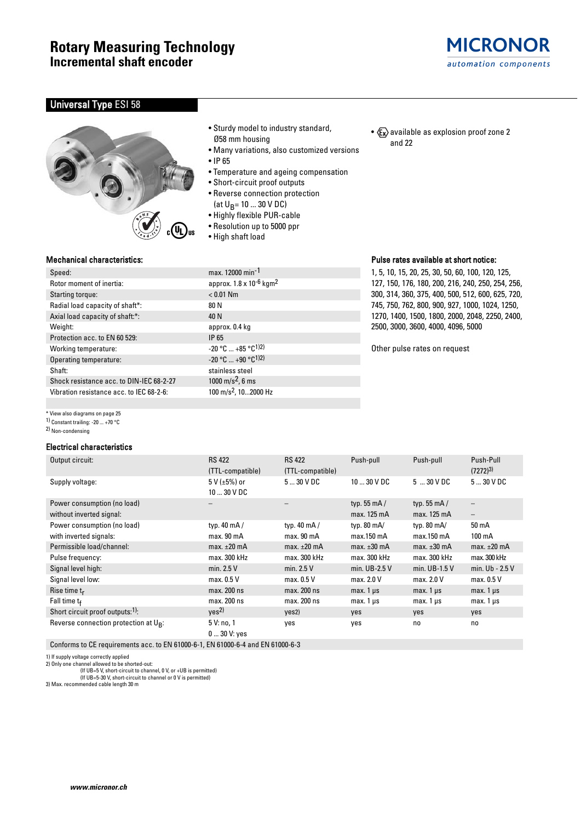## Universal Type ESI 58



### Mechanical characteristics:

\* View also diagrams on page 25 1) Constant trailing: -20 ... +70 °C 2) Non-condensing

# Speed: max. 12000 min-1

| Rotor moment of inertia:                 | approx. 1.8 x 10 <sup>-6</sup> kgm <sup>2</sup> |  |  |  |
|------------------------------------------|-------------------------------------------------|--|--|--|
| Starting torque:                         | $< 0.01$ Nm                                     |  |  |  |
| Radial load capacity of shaft*:          | 80 N                                            |  |  |  |
| Axial load capacity of shaft:*:          | 40 N                                            |  |  |  |
| Weight:                                  | approx. 0.4 kg                                  |  |  |  |
| Protection acc. to EN 60 529:            | IP 65                                           |  |  |  |
| Working temperature:                     | $-20$ °C $+85$ °C <sup>1)2)</sup>               |  |  |  |
| Operating temperature:                   | $-20$ °C $+90$ °C <sup>1)2)</sup>               |  |  |  |
| Shaft:                                   | stainless steel                                 |  |  |  |
| Shock resistance acc. to DIN-IEC 68-2-27 | 1000 m/s <sup>2</sup> , 6 ms                    |  |  |  |
| Vibration resistance acc. to IEC 68-2-6: | 100 m/s <sup>2</sup> , 102000 Hz                |  |  |  |

• Sturdy model to industry standard, Ø58 mm housing

- Many variations, also customized versions
- IP 65
- Temperature and ageing compensation
- Short-circuit proof outputs
- Reverse connection protection
- (at  $U_B$ = 10 ... 30 V DC)
- Highly flexible PUR-cable
- Resolution up to 5000 ppr
- High shaft load

| max. 12000 min <sup>-1</sup>                    |
|-------------------------------------------------|
| approx. 1.8 x 10 <sup>-6</sup> kgm <sup>2</sup> |
| $< 0.01$ Nm                                     |
| 80 N                                            |
| 40 N                                            |
| approx. 0.4 kg                                  |
| IP 65                                           |
| -20 °C  +85 °C <sup>1)2)</sup>                  |
| -20 °C  +90 °C <sup>1)2)</sup>                  |
| stainless steel                                 |
| 1000 m/s <sup>2</sup> , 6 ms                    |
| 100 m/s <sup>2</sup> , 102000 Hz                |
|                                                 |

Pulse rates available at short notice:

•  $x \rightarrow \infty$  available as explosion proof zone 2

and 22

1, 5, 10, 15, 20, 25, 30, 50, 60, 100, 120, 125, 127, 150, 176, 180, 200, 216, 240, 250, 254, 256, 300, 314, 360, 375, 400, 500, 512, 600, 625, 720, 745, 750, 762, 800, 900, 927, 1000, 1024, 1250, 1270, 1400, 1500, 1800, 2000, 2048, 2250, 2400, 2500, 3000, 3600, 4000, 4096, 5000

Other pulse rates on request

| <b>Electrical characteristics</b>            |                                     |                      |                      |                      |                   |
|----------------------------------------------|-------------------------------------|----------------------|----------------------|----------------------|-------------------|
| Output circuit:                              | <b>RS 422</b>                       | <b>RS 422</b>        | Push-pull            | Push-pull            | Push-Pull         |
|                                              | (TTL-compatible)                    | (TTL-compatible)     |                      |                      | $(7272)^{3}$      |
| Supply voltage:                              | 5 V ( $\pm 5\%$ ) or<br>$1030$ V DC | $530$ V DC           | $1030$ V DC          | 530VDC               | 530VDC            |
| Power consumption (no load)                  |                                     |                      | typ. 55 $mA/$        | typ. $55 \text{ mA}$ |                   |
| without inverted signal:                     |                                     |                      | max. 125 mA          | max. 125 mA          | $\qquad \qquad -$ |
| Power consumption (no load)                  | typ. $40 \text{ mA}$                | typ. $40 \text{ mA}$ | typ. $80 \text{ mA}$ | typ. $80 \text{ mA}$ | 50 mA             |
| with inverted signals:                       | max.90 <sub>mA</sub>                | max. 90 mA           | max.150 mA           | max.150 mA           | 100 mA            |
| Permissible load/channel:                    | max. $\pm 20$ mA                    | max. $\pm 20$ mA     | max. $\pm 30$ mA     | $max. \pm 30$ mA     | max. $\pm 20$ mA  |
| Pulse frequency:                             | max. 300 kHz                        | max. 300 kHz         | max. 300 kHz         | max. 300 kHz         | max. 300 kHz      |
| Signal level high:                           | min. $2.5V$                         | min. $2.5V$          | min. UB-2.5 V        |                      | min. Ub - 2.5 V   |
| Signal level low:                            | max. 0.5 V                          | max. 0.5 V           | max. 2.0 V           | max. 2.0 V           | max. 0.5 V        |
| Rise time $t_r$                              | max. 200 ns                         | max. 200 ns          | max. $1 \mu s$       | $max.1 \,\mu s$      | max. $1 \mu s$    |
| Fall time $t_f$                              | max. 200 ns                         | max. 200 ns          | max. $1 \mu s$       | $max. 1 \mu s$       | $max.1 \,\mu s$   |
| Short circuit proof outputs: <sup>1)</sup> : | Yes <sup>2</sup>                    | yes2)                | yes                  | yes                  | yes               |
| Reverse connection protection at $U_R$ :     | 5 V: no, 1<br>$030$ V: yes          | yes                  | yes                  | no                   | no                |

Conforms to CE requirements acc. to EN 61000-6-1, EN 61000-6-4 and EN 61000-6-3

1) If supply voltage correctly applied 2) Only one channel allowed to be shorted-out:

(If UB=5 V, short-circuit to channel, 0 V, or +UB is permitted) (If UB=5-30 V, short-circuit to channel or 0 V is permitted)

3) Max. recommended cable length 30 m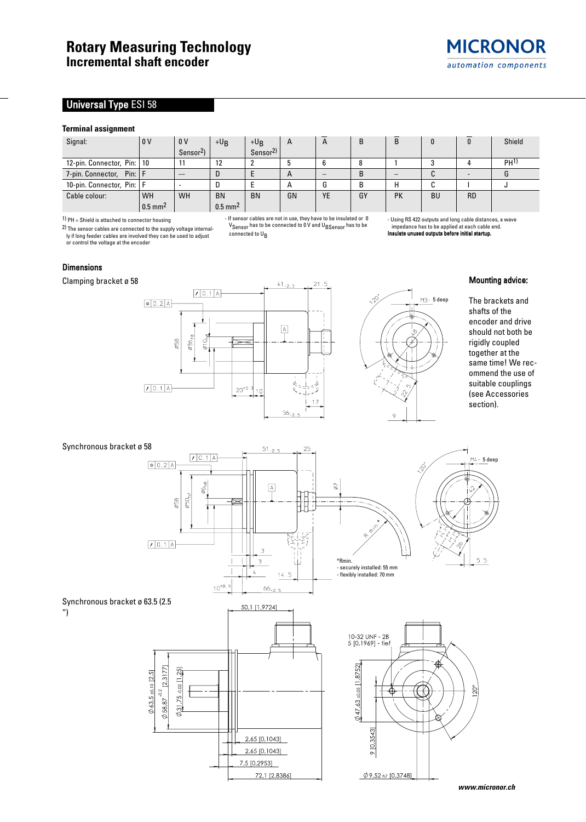# Universal Type ESI 58

#### **Terminal assignment**

| Signal:                      | 1 o v                 | 0 <sub>V</sub>        | $+U_B$                | $+U_B$              | $\mathsf{A}$ | A  | B  | B         |           |           | Shield          |
|------------------------------|-----------------------|-----------------------|-----------------------|---------------------|--------------|----|----|-----------|-----------|-----------|-----------------|
|                              |                       | Sensor <sup>2</sup> ) |                       | Sensor <sup>2</sup> |              |    |    |           |           |           |                 |
| 12-pin. Connector, Pin:   10 |                       | 11                    | 12                    |                     |              |    |    |           |           |           | PH <sup>1</sup> |
| Pin:IF<br>7-pin. Connector,  |                       | $- -$                 | D                     |                     | $\mathsf{H}$ |    | B  |           |           |           |                 |
| 10-pin. Connector, Pin:   F  |                       |                       | D                     |                     | $\mathsf{A}$ |    | B  | н         |           |           |                 |
| Cable colour:                | <b>WH</b>             | WH                    | <b>BN</b>             | <b>BN</b>           | GN           | YE | GY | <b>PK</b> | <b>BU</b> | <b>RD</b> |                 |
|                              | $0.5$ mm <sup>2</sup> |                       | $0.5$ mm <sup>2</sup> |                     |              |    |    |           |           |           |                 |

 $1)$  PH = Shield is attached to connector housing

2) The sensor cables are connected to the supply voltage internal-ly if long feeder cables are involved they can be used to adjust or control the voltage at the encoder

- If sensor cables are not in use, they have to be insulated or 0 VSensor has to be connected to 0 V and UBSensor has to be connected to U<sub>B</sub>

- Using RS 422 outputs and long cable distances, a wave impedance has to be applied at each cable end. Insulate unused outputs before initial startup.

Dimensions

Clamping bracket ø 58





Mounting advice:

The brackets and shafts of the encoder and drive should not both be rigidly coupled together at the same time! We recommend the use of suitable couplings (see Accessories section).